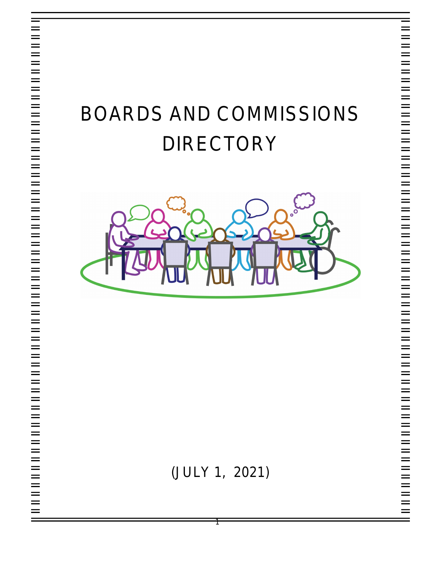# BOARDS AND COMMISSIONS DIRECTORY



(JULY 1, 2021)

1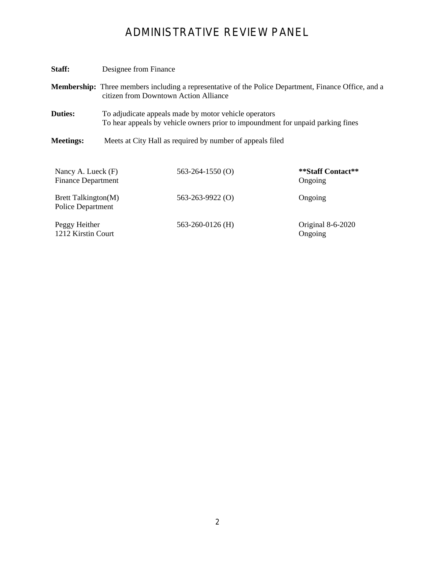# ADMINISTRATIVE REVIEW PANEL

| Staff:                                          | Designee from Finance                                                                                                                                |                        |                              |
|-------------------------------------------------|------------------------------------------------------------------------------------------------------------------------------------------------------|------------------------|------------------------------|
|                                                 | <b>Membership:</b> Three members including a representative of the Police Department, Finance Office, and a<br>citizen from Downtown Action Alliance |                        |                              |
| <b>Duties:</b>                                  | To adjudicate appeals made by motor vehicle operators<br>To hear appeals by vehicle owners prior to impound ment for unpaid parking fines            |                        |                              |
| <b>Meetings:</b>                                | Meets at City Hall as required by number of appeals filed                                                                                            |                        |                              |
| Nancy A. Lueck (F)<br><b>Finance Department</b> |                                                                                                                                                      | $563 - 264 - 1550$ (O) | **Staff Contact**<br>Ongoing |
| Brett Talkington(M)<br><b>Police Department</b> |                                                                                                                                                      | $563 - 263 - 9922$ (O) | Ongoing                      |
| Peggy Heither<br>1212 Kirstin Court             |                                                                                                                                                      | 563-260-0126 (H)       | Original 8-6-2020<br>Ongoing |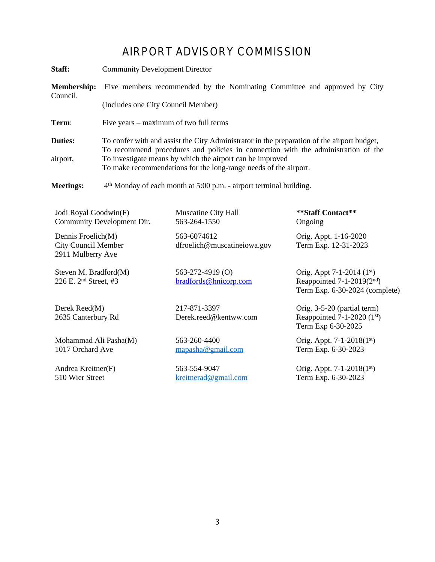## AIRPORT ADVISORY COMMISSION

| Staff:                                                                | <b>Community Development Director</b>                                                                                                                                                                                                                                                                            |                                            |                                                                                            |  |
|-----------------------------------------------------------------------|------------------------------------------------------------------------------------------------------------------------------------------------------------------------------------------------------------------------------------------------------------------------------------------------------------------|--------------------------------------------|--------------------------------------------------------------------------------------------|--|
| <b>Membership:</b>                                                    | Five members recommended by the Nominating Committee and approved by City                                                                                                                                                                                                                                        |                                            |                                                                                            |  |
| Council.                                                              | (Includes one City Council Member)                                                                                                                                                                                                                                                                               |                                            |                                                                                            |  |
| Term:                                                                 | Five years – maximum of two full terms                                                                                                                                                                                                                                                                           |                                            |                                                                                            |  |
| <b>Duties:</b><br>airport,                                            | To confer with and assist the City Administrator in the preparation of the airport budget,<br>To recommend procedures and policies in connection with the administration of the<br>To investigate means by which the airport can be improved<br>To make recommendations for the long-range needs of the airport. |                                            |                                                                                            |  |
| <b>Meetings:</b>                                                      | 4 <sup>th</sup> Monday of each month at 5:00 p.m. - airport terminal building.                                                                                                                                                                                                                                   |                                            |                                                                                            |  |
| Jodi Royal Goodwin(F)                                                 | Community Development Dir.                                                                                                                                                                                                                                                                                       | <b>Muscatine City Hall</b><br>563-264-1550 | **Staff Contact**<br>Ongoing                                                               |  |
| Dennis Froelich(M)<br><b>City Council Member</b><br>2911 Mulberry Ave |                                                                                                                                                                                                                                                                                                                  | 563-6074612<br>dfroelich@muscatineiowa.gov | Orig. Appt. 1-16-2020<br>Term Exp. 12-31-2023                                              |  |
| Steven M. Bradford(M)<br>226 E. 2 <sup>nd</sup> Street, #3            |                                                                                                                                                                                                                                                                                                                  | 563-272-4919 (O)<br>bradfords@hnicorp.com  | Orig. Appt 7-1-2014 (1st)<br>Reappointed $7-1-2019(2nd)$<br>Term Exp. 6-30-2024 (complete) |  |
| Derek Reed(M)<br>2635 Canterbury Rd                                   |                                                                                                                                                                                                                                                                                                                  | 217-871-3397<br>Derek.reed@kentww.com      | Orig. 3-5-20 (partial term)<br>Reappointed 7-1-2020 $(1st)$<br>Term Exp 6-30-2025          |  |
| Mohammad Ali Pasha(M)<br>1017 Orchard Ave                             |                                                                                                                                                                                                                                                                                                                  | 563-260-4400<br>mapasha@gmail.com          | Orig. Appt. 7-1-2018 $(1st)$<br>Term Exp. 6-30-2023                                        |  |

Andrea Kreitner(F) 510 Wier Street

563-554-9047 [kreitnerad@gmail.com](mailto:kreitnerad@gmail.com) Orig. Appt. 7-1-2018(1st) Term Exp. 6-30-2023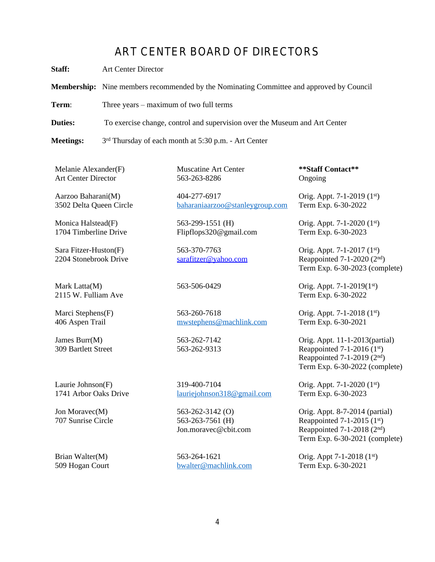#### ART CENTER BOARD OF DIRECTORS

**Staff:** Art Center Director

**Membership:** Nine members recommended by the Nominating Committee and approved by Council

**Term:** Three years – maximum of two full terms

**Duties:** To exercise change, control and supervision over the Museum and Art Center

Meetings: 3<sup>rd</sup> Thursday of each month at 5:30 p.m. - Art Center

Melanie Alexander(F) Art Center Director

Aarzoo Baharani(M) 3502 Delta Queen Circle

Monica Halstead(F) 1704 Timberline Drive

Sara Fitzer-Huston(F) 2204 Stonebrook Drive

Mark Latta(M) 2115 W. Fulliam Ave

Marci Stephens(F) 406 Aspen Trail

James Burr(M) 309 Bartlett Street

Laurie Johnson(F) 1741 Arbor Oaks Drive

Jon Moravec(M) 707 Sunrise Circle

Brian Walter(M) 509 Hogan Court Muscatine Art Center 563-263-8286

404-277-6917 [baharaniaarzoo@stanleygroup.com](mailto:baharaniaarzoo@stanleygroup.com)

563-299-1551 (H) Flipflops320@gmail.com

563-370-7763 [sarafitzer@yahoo.com](mailto:sarafitzer@yahoo.com)

563-260-7618 [mwstephens@machlink.com](mailto:mwstephens@machlink.com)

563-262-7142 563-262-9313

319-400-7104 [lauriejohnson318@gmail.com](mailto:lauriejohnson318@gmail.com)

563-262-3142 (O) 563-263-7561 (H) Jon.moravec@cbit.com

563-264-1621 [bwalter@machlink.com](mailto:bwalter@machlink.com) **\*\*Staff Contact\*\*** Ongoing

Orig. Appt. 7-1-2019 (1st) Term Exp. 6-30-2022

Orig. Appt. 7-1-2020 (1st) Term Exp. 6-30-2023

Orig. Appt. 7-1-2017 (1st) Reappointed  $7-1-2020$   $(2<sup>nd</sup>)$ Term Exp. 6-30-2023 (complete)

563-506-0429 Orig. Appt. 7-1-2019(1st) Term Exp. 6-30-2022

> Orig. Appt. 7-1-2018 (1st) Term Exp. 6-30-2021

Orig. Appt. 11-1-2013(partial) Reappointed 7-1-2016  $(1<sup>st</sup>)$ Reappointed  $7-1-2019$  ( $2<sup>nd</sup>$ ) Term Exp. 6-30-2022 (complete)

Orig. Appt. 7-1-2020 (1st) Term Exp. 6-30-2023

Orig. Appt. 8-7-2014 (partial) Reappointed  $7-1-2015$  (1<sup>st</sup>) Reappointed 7-1-2018 (2nd) Term Exp. 6-30-2021 (complete)

Orig. Appt 7-1-2018 (1st) Term Exp. 6-30-2021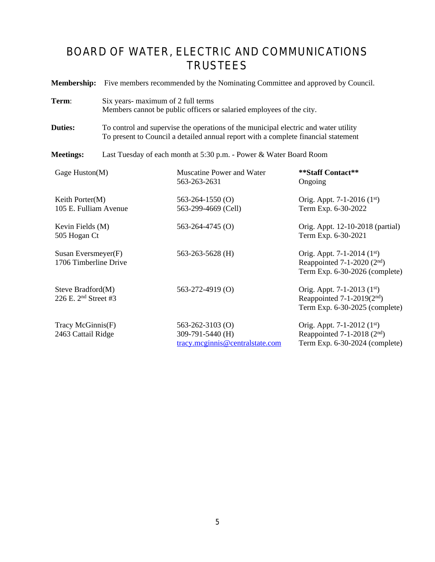# BOARD OF WATER, ELECTRIC AND COMMUNICATIONS TRUSTEES

|                                                       | <b>Membership:</b> Five members recommended by the Nominating Committee and approved by Council.                                                                          |                                                                               |                                                                                                  |
|-------------------------------------------------------|---------------------------------------------------------------------------------------------------------------------------------------------------------------------------|-------------------------------------------------------------------------------|--------------------------------------------------------------------------------------------------|
| Term:                                                 | Six years- maximum of 2 full terms<br>Members cannot be public officers or salaried employees of the city.                                                                |                                                                               |                                                                                                  |
| <b>Duties:</b>                                        | To control and supervise the operations of the municipal electric and water utility<br>To present to Council a detailed annual report with a complete financial statement |                                                                               |                                                                                                  |
| <b>Meetings:</b>                                      | Last Tuesday of each month at 5:30 p.m. - Power & Water Board Room                                                                                                        |                                                                               |                                                                                                  |
| Gage Huston(M)                                        |                                                                                                                                                                           | <b>Muscatine Power and Water</b><br>563-263-2631                              | **Staff Contact**<br>Ongoing                                                                     |
| Keith Porter(M)<br>105 E. Fulliam Avenue              |                                                                                                                                                                           | $563 - 264 - 1550$ (O)<br>563-299-4669 (Cell)                                 | Orig. Appt. 7-1-2016 $(1st)$<br>Term Exp. 6-30-2022                                              |
| Kevin Fields (M)<br>505 Hogan Ct                      |                                                                                                                                                                           | $563 - 264 - 4745$ (O)                                                        | Orig. Appt. 12-10-2018 (partial)<br>Term Exp. 6-30-2021                                          |
| Susan Eversmeyer(F)<br>1706 Timberline Drive          |                                                                                                                                                                           | 563-263-5628 (H)                                                              | Orig. Appt. 7-1-2014 (1st)<br>Reappointed $7-1-2020$ ( $2nd$ )<br>Term Exp. 6-30-2026 (complete) |
| Steve Bradford(M)<br>226 E. 2 <sup>nd</sup> Street #3 |                                                                                                                                                                           | 563-272-4919 (O)                                                              | Orig. Appt. 7-1-2013 (1st)<br>Reappointed $7-1-2019(2nd)$<br>Term Exp. 6-30-2025 (complete)      |
| Tracy McGinnis(F)<br>2463 Cattail Ridge               |                                                                                                                                                                           | $563 - 262 - 3103$ (O)<br>309-791-5440 (H)<br>tracy.mcginnis@centralstate.com | Orig. Appt. 7-1-2012 (1st)<br>Reappointed 7-1-2018 $(2nd)$<br>Term Exp. 6-30-2024 (complete)     |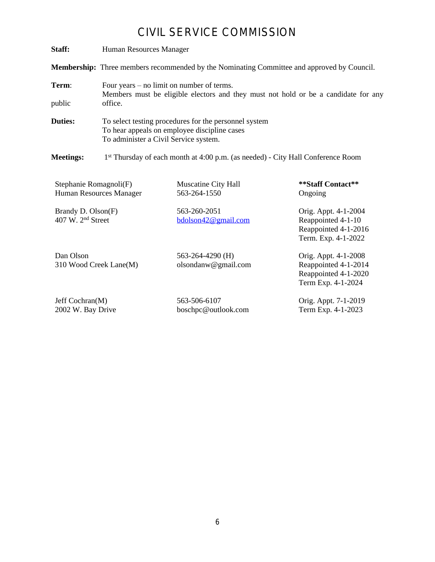### CIVIL SERVICE COMMISSION

| Staff:                                              | Human Resources Manager                                                                                                                        |                                                                                             |                                                                                           |
|-----------------------------------------------------|------------------------------------------------------------------------------------------------------------------------------------------------|---------------------------------------------------------------------------------------------|-------------------------------------------------------------------------------------------|
|                                                     | Membership: Three members recommended by the Nominating Committee and approved by Council.                                                     |                                                                                             |                                                                                           |
| Term:<br>public                                     | Four years $-$ no limit on number of terms.<br>Members must be eligible electors and they must not hold or be a candidate for any<br>office.   |                                                                                             |                                                                                           |
| <b>Duties:</b>                                      | To select testing procedures for the personnel system<br>To hear appeals on employee discipline cases<br>To administer a Civil Service system. |                                                                                             |                                                                                           |
| <b>Meetings:</b>                                    |                                                                                                                                                | 1 <sup>st</sup> Thursday of each month at 4:00 p.m. (as needed) - City Hall Conference Room |                                                                                           |
| Stephanie Romagnoli(F)                              | Human Resources Manager                                                                                                                        | Muscatine City Hall<br>563-264-1550                                                         | **Staff Contact**<br>Ongoing                                                              |
| Brandy D. Olson(F)<br>407 W. 2 <sup>nd</sup> Street |                                                                                                                                                | 563-260-2051<br>bdolson42@gmail.com                                                         | Orig. Appt. 4-1-2004<br>Reappointed 4-1-10<br>Reappointed 4-1-2016<br>Term. Exp. 4-1-2022 |
| Dan Olson                                           |                                                                                                                                                | 563-264-4290 (H)                                                                            | Orig. Appt. 4-1-2008                                                                      |

Dan Olson 310 Wood Creek Lane(M)

563-264-4290 (H) olsondanw@gmail.com

Jeff Cochran(M) 2002 W. Bay Drive

563-506-6107 boschpc@outlook.com Orig. Appt. 7-1-2019 Term Exp. 4-1-2023

Reappointed 4-1-2014 Reappointed 4-1-2020 Term Exp. 4-1-2024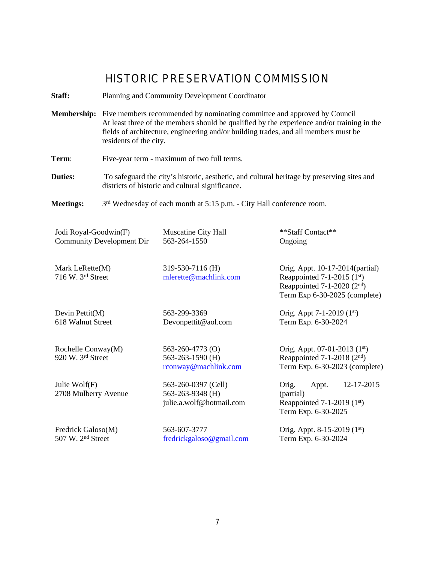### HISTORIC PRESERVATION COMMISSION

**Staff:** Planning and Community Development Coordinator

**Membership:** Five members recommended by nominating committee and approved by Council At least three of the members should be qualified by the experience and/or training in the fields of architecture, engineering and/or building trades, and all members must be residents of the city.

**Term:** Five-year term - maximum of two full terms.

**Duties:** To safeguard the city's historic, aesthetic, and cultural heritage by preserving sites and districts of historic and cultural significance.

**Meetings:**  $3<sup>rd</sup>$  Wednesday of each month at 5:15 p.m. - City Hall conference room.

| Jodi Royal-Goodwin(F)                           | Muscatine City Hall                       | **Staff Contact**                                                                                                                    |
|-------------------------------------------------|-------------------------------------------|--------------------------------------------------------------------------------------------------------------------------------------|
| <b>Community Development Dir</b>                | 563-264-1550                              | Ongoing                                                                                                                              |
| Mark Le $R$ ette $(M)$<br>$716$ W. $3rd$ Street | 319-530-7116 (H)<br>mlerette@machlink.com | Orig. Appt. 10-17-2014(partial)<br>Reappointed 7-1-2015 $(1st)$<br>Reappointed $7-1-2020$ ( $2nd$ )<br>Term Exp 6-30-2025 (complete) |

Devin Pettit(M) 618 Walnut Street 563-299-3369 Devonpettit@aol.com

Rochelle Conway(M) 920 W. 3rd Street

563-260-4773 (O) 563-263-1590 (H) [rconway@machlink.com](mailto:rconway@machlink.com)

Julie Wolf(F) 2708 Mulberry Avenue 563-260-0397 (Cell) 563-263-9348 (H) julie.a.wolf@hotmail.com

Fredrick Galoso(M) 507 W. 2nd Street

563-607-3777 fredrickgaloso@gmail.com

Orig. Appt. 07-01-2013 (1st) Reappointed  $7-1-2018$  ( $2<sup>nd</sup>$ ) Term Exp. 6-30-2023 (complete)

Orig. Appt 7-1-2019 (1st) Term Exp. 6-30-2024

Orig. Appt. 12-17-2015 (partial) Reappointed  $7-1-2019$  (1st) Term Exp. 6-30-2025

Orig. Appt. 8-15-2019 (1st) Term Exp. 6-30-2024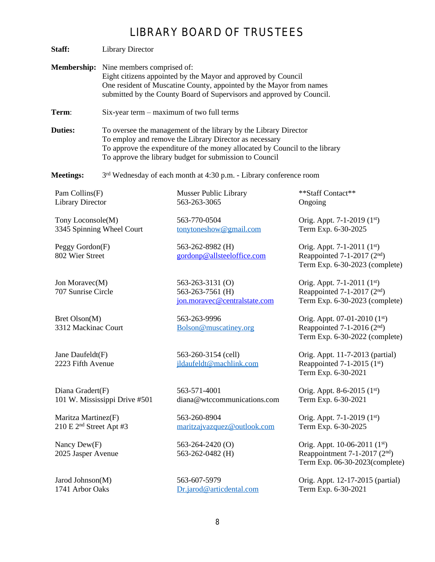# LIBRARY BOARD OF TRUSTEES

| Staff:                                                     | <b>Library Director</b>                                                                                                                                                                                                                                              |                                                                      |                                                                                                             |
|------------------------------------------------------------|----------------------------------------------------------------------------------------------------------------------------------------------------------------------------------------------------------------------------------------------------------------------|----------------------------------------------------------------------|-------------------------------------------------------------------------------------------------------------|
|                                                            | <b>Membership:</b> Nine members comprised of:<br>Eight citizens appointed by the Mayor and approved by Council<br>One resident of Muscatine County, appointed by the Mayor from names<br>submitted by the County Board of Supervisors and approved by Council.       |                                                                      |                                                                                                             |
| Term:                                                      | Six-year term – maximum of two full terms                                                                                                                                                                                                                            |                                                                      |                                                                                                             |
| <b>Duties:</b>                                             | To oversee the management of the library by the Library Director<br>To employ and remove the Library Director as necessary<br>To approve the expenditure of the money allocated by Council to the library<br>To approve the library budget for submission to Council |                                                                      |                                                                                                             |
| <b>Meetings:</b>                                           |                                                                                                                                                                                                                                                                      | $3rd$ Wednesday of each month at 4:30 p.m. - Library conference room |                                                                                                             |
| Pam Collins(F)<br><b>Library Director</b>                  |                                                                                                                                                                                                                                                                      | <b>Musser Public Library</b><br>563-263-3065                         | **Staff Contact**<br>Ongoing                                                                                |
| Tony Loconsole(M)<br>3345 Spinning Wheel Court             |                                                                                                                                                                                                                                                                      | 563-770-0504<br>tonytoneshow@gmail.com                               | Orig. Appt. 7-1-2019 (1st)<br>Term Exp. 6-30-2025                                                           |
| Peggy Gordon(F)<br>802 Wier Street                         |                                                                                                                                                                                                                                                                      | 563-262-8982 (H)<br>gordonp@allsteeloffice.com                       | Orig. Appt. 7-1-2011 (1st)<br>Reappointed 7-1-2017 $(2nd)$<br>Term Exp. 6-30-2023 (complete)                |
| Jon Moravec(M)<br>707 Sunrise Circle                       |                                                                                                                                                                                                                                                                      | 563-263-3131 (O)<br>563-263-7561 (H)<br>jon.moravec@centralstate.com | Orig. Appt. 7-1-2011 (1st)<br>Reappointed 7-1-2017 $(2nd)$<br>Term Exp. 6-30-2023 (complete)                |
| Bret Olson(M)<br>3312 Mackinac Court                       |                                                                                                                                                                                                                                                                      | 563-263-9996<br>Bolson@muscatiney.org                                | Orig. Appt. 07-01-2010 (1st)<br>Reappointed 7-1-2016 $(2nd)$<br>Term Exp. 6-30-2022 (complete)              |
| Jane Daufeldt(F)<br>2223 Fifth Avenue                      |                                                                                                                                                                                                                                                                      | 563-260-3154 (cell)<br>jldaufeldt@machlink.com                       | Orig. Appt. 11-7-2013 (partial)<br>Reappointed 7-1-2015 $(1st)$<br>Term Exp. 6-30-2021                      |
| Diana Gradert(F)                                           | 101 W. Mississippi Drive #501                                                                                                                                                                                                                                        | 563-571-4001<br>diana@wtccommunications.com                          | Orig. Appt. 8-6-2015 (1st)<br>Term Exp. 6-30-2021                                                           |
| Maritza Martinez(F)<br>210 E 2 <sup>nd</sup> Street Apt #3 |                                                                                                                                                                                                                                                                      | 563-260-8904<br>maritzajvazquez@outlook.com                          | Orig. Appt. 7-1-2019 (1st)<br>Term Exp. 6-30-2025                                                           |
| Nancy Dew(F)<br>2025 Jasper Avenue                         |                                                                                                                                                                                                                                                                      | $563 - 264 - 2420$ (O)<br>563-262-0482 (H)                           | Orig. Appt. 10-06-2011 (1st)<br>Reappointment 7-1-2017 (2 <sup>nd</sup> )<br>Term Exp. 06-30-2023(complete) |
| Jarod Johnson(M)<br>1741 Arbor Oaks                        |                                                                                                                                                                                                                                                                      | 563-607-5979<br>Dr.jarod@articdental.com                             | Orig. Appt. 12-17-2015 (partial)<br>Term Exp. 6-30-2021                                                     |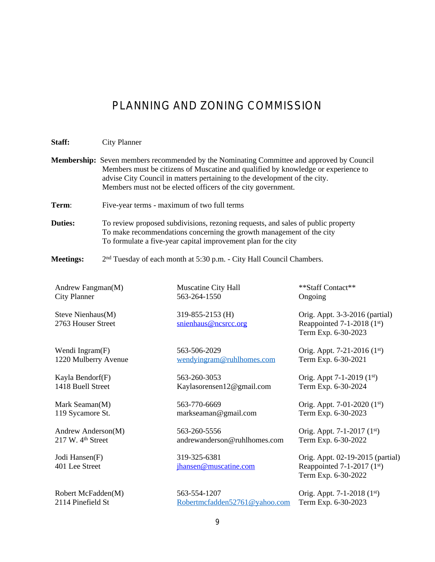# PLANNING AND ZONING COMMISSION

| Staff:                                              | <b>City Planner</b>                                                                                                                                                                                                                                                                                                                |                                               |                                                                                         |
|-----------------------------------------------------|------------------------------------------------------------------------------------------------------------------------------------------------------------------------------------------------------------------------------------------------------------------------------------------------------------------------------------|-----------------------------------------------|-----------------------------------------------------------------------------------------|
|                                                     | <b>Membership:</b> Seven members recommended by the Nominating Committee and approved by Council<br>Members must be citizens of Muscatine and qualified by knowledge or experience to<br>advise City Council in matters pertaining to the development of the city.<br>Members must not be elected officers of the city government. |                                               |                                                                                         |
| Term:                                               | Five-year terms - maximum of two full terms                                                                                                                                                                                                                                                                                        |                                               |                                                                                         |
| <b>Duties:</b>                                      | To review proposed subdivisions, rezoning requests, and sales of public property<br>To make recommendations concerning the growth management of the city<br>To formulate a five-year capital improvement plan for the city                                                                                                         |                                               |                                                                                         |
| <b>Meetings:</b>                                    | 2 <sup>nd</sup> Tuesday of each month at 5:30 p.m. - City Hall Council Chambers.                                                                                                                                                                                                                                                   |                                               |                                                                                         |
| Andrew Fangman(M)<br><b>City Planner</b>            |                                                                                                                                                                                                                                                                                                                                    | Muscatine City Hall<br>563-264-1550           | **Staff Contact**<br>Ongoing                                                            |
| Steve Nienhaus(M)<br>2763 Houser Street             |                                                                                                                                                                                                                                                                                                                                    | 319-855-2153 (H)<br>snienhaus@ncsrcc.org      | Orig. Appt. 3-3-2016 (partial)<br>Reappointed 7-1-2018 $(1st)$<br>Term Exp. 6-30-2023   |
| Wendi Ingram(F)<br>1220 Mulberry Avenue             |                                                                                                                                                                                                                                                                                                                                    | 563-506-2029<br>wendyingram@ruhlhomes.com     | Orig. Appt. 7-21-2016 (1st)<br>Term Exp. 6-30-2021                                      |
| Kayla Bendorf(F)<br>1418 Buell Street               |                                                                                                                                                                                                                                                                                                                                    | 563-260-3053<br>Kaylasorensen12@gmail.com     | Orig. Appt 7-1-2019 (1st)<br>Term Exp. 6-30-2024                                        |
| Mark Seaman(M)<br>119 Sycamore St.                  |                                                                                                                                                                                                                                                                                                                                    | 563-770-6669<br>markseaman@gmail.com          | Orig. Appt. 7-01-2020 (1st)<br>Term Exp. 6-30-2023                                      |
| Andrew Anderson(M)<br>217 W. 4 <sup>th</sup> Street |                                                                                                                                                                                                                                                                                                                                    | 563-260-5556<br>andrewanderson@ruhlhomes.com  | Orig. Appt. 7-1-2017 (1st)<br>Term Exp. 6-30-2022                                       |
| Jodi Hansen(F)<br>401 Lee Street                    |                                                                                                                                                                                                                                                                                                                                    | 319-325-6381<br>jhansen@muscatine.com         | Orig. Appt. 02-19-2015 (partial)<br>Reappointed 7-1-2017 $(1st)$<br>Term Exp. 6-30-2022 |
| Robert McFadden(M)<br>2114 Pinefield St             |                                                                                                                                                                                                                                                                                                                                    | 563-554-1207<br>Robertmcfadden52761@yahoo.com | Orig. Appt. 7-1-2018 (1st)<br>Term Exp. 6-30-2023                                       |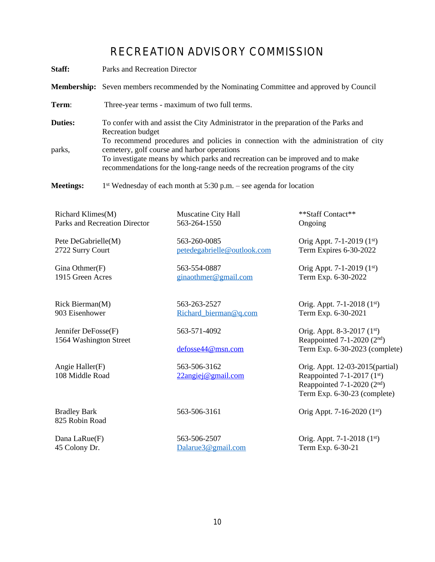# RECREATION ADVISORY COMMISSION

| Staff:                                        | Parks and Recreation Director                                                                                                                                                                                    |                                             |                                                                                                                                   |
|-----------------------------------------------|------------------------------------------------------------------------------------------------------------------------------------------------------------------------------------------------------------------|---------------------------------------------|-----------------------------------------------------------------------------------------------------------------------------------|
|                                               | <b>Membership:</b> Seven members recommended by the Nominating Committee and approved by Council                                                                                                                 |                                             |                                                                                                                                   |
| Term:                                         | Three-year terms - maximum of two full terms.                                                                                                                                                                    |                                             |                                                                                                                                   |
| <b>Duties:</b>                                | To confer with and assist the City Administrator in the preparation of the Parks and<br><b>Recreation budget</b><br>To recommend procedures and policies in connection with the administration of city           |                                             |                                                                                                                                   |
| parks,                                        | cemetery, golf course and harbor operations<br>To investigate means by which parks and recreation can be improved and to make<br>recommendations for the long-range needs of the recreation programs of the city |                                             |                                                                                                                                   |
| <b>Meetings:</b>                              | $1st$ Wednesday of each month at 5:30 p.m. – see agenda for location                                                                                                                                             |                                             |                                                                                                                                   |
| Richard Klimes(M)                             | Parks and Recreation Director                                                                                                                                                                                    | Muscatine City Hall<br>563-264-1550         | **Staff Contact**<br>Ongoing                                                                                                      |
| Pete DeGabrielle(M)<br>2722 Surry Court       |                                                                                                                                                                                                                  | 563-260-0085<br>petedegabrielle@outlook.com | Orig Appt. 7-1-2019 (1st)<br>Term Expires 6-30-2022                                                                               |
| Gina Othmer $(F)$<br>1915 Green Acres         |                                                                                                                                                                                                                  | 563-554-0887<br>ginaothmer@gmail.com        | Orig Appt. 7-1-2019 (1st)<br>Term Exp. 6-30-2022                                                                                  |
| Rick Bierman(M)<br>903 Eisenhower             |                                                                                                                                                                                                                  | 563-263-2527<br>Richard_bierman@q.com       | Orig. Appt. 7-1-2018 (1st)<br>Term Exp. 6-30-2021                                                                                 |
| Jennifer DeFosse(F)<br>1564 Washington Street |                                                                                                                                                                                                                  | 563-571-4092<br>defosse44@msn.com           | Orig. Appt. 8-3-2017 (1st)<br>Reappointed 7-1-2020 $(2nd)$<br>Term Exp. 6-30-2023 (complete)                                      |
| Angie Haller(F)<br>108 Middle Road            |                                                                                                                                                                                                                  | 563-506-3162<br><u>22angiej@gmail.com</u>   | Orig. Appt. 12-03-2015(partial)<br>Reappointed 7-1-2017 (1st)<br>Reappointed $7-1-2020$ ( $2nd$ )<br>Term Exp. 6-30-23 (complete) |
| <b>Bradley Bark</b><br>825 Robin Road         |                                                                                                                                                                                                                  | 563-506-3161                                | Orig Appt. 7-16-2020 (1st)                                                                                                        |
| Dana LaRue(F)<br>45 Colony Dr.                |                                                                                                                                                                                                                  | 563-506-2507<br>Dalarue3@gmail.com          | Orig. Appt. 7-1-2018 (1st)<br>Term Exp. 6-30-21                                                                                   |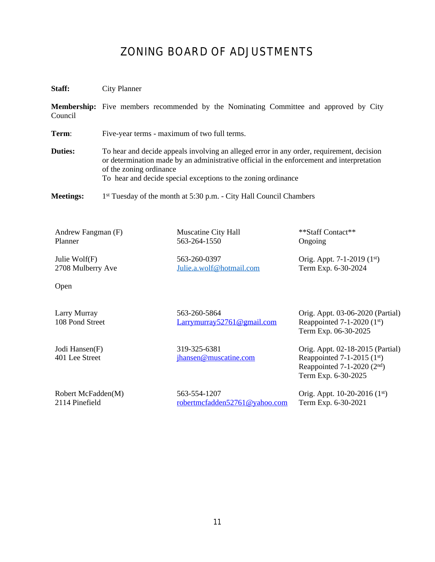### ZONING BOARD OF ADJUSTMENTS

**Staff:** City Planner

**Membership:** Five members recommended by the Nominating Committee and approved by City Council

**Term:** Five-year terms - maximum of two full terms.

**Duties:** To hear and decide appeals involving an alleged error in any order, requirement, decision or determination made by an administrative official in the enforcement and interpretation of the zoning ordinance To hear and decide special exceptions to the zoning ordinance

Meetings: 1<sup>st</sup> Tuesday of the month at 5:30 p.m. - City Hall Council Chambers

Andrew Fangman (F) Planner

Julie Wolf(F) 2708 Mulberry Ave

Open

Larry Murray 108 Pond Street

Jodi Hansen(F) 401 Lee Street

563-260-0397 [Julie.a.wolf@hotmail.com](mailto:Julie.a.wolf@hotmail.com)

Muscatine City Hall 563-264-1550

563-260-5864 Larrymurray52761@gmail.com

319-325-6381 [jhansen@muscatine.com](mailto:jhansen@muscatine.com)

Robert McFadden(M) 2114 Pinefield

563-554-1207 [robertmcfadden52761@yahoo.com](mailto:robertmcfadden52761@yahoo.com)

\*\*Staff Contact\*\* Ongoing

Orig. Appt. 7-1-2019 (1st) Term Exp. 6-30-2024

Orig. Appt. 03-06-2020 (Partial) Reappointed  $7-1-2020$  ( $1<sup>st</sup>$ ) Term Exp. 06-30-2025

Orig. Appt. 02-18-2015 (Partial) Reappointed  $7-1-2015$  (1st) Reappointed  $7-1-2020$   $(2<sup>nd</sup>)$ Term Exp. 6-30-2025

Orig. Appt. 10-20-2016 (1st) Term Exp. 6-30-2021